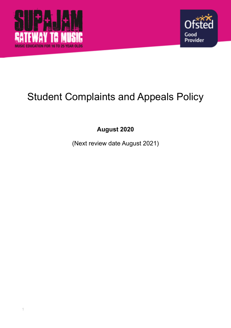



# Student Complaints and Appeals Policy

**August 2020** 

(Next review date August 2021)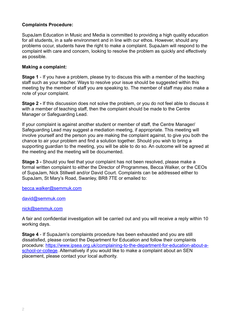### **Complaints Procedure:**

SupaJam Education in Music and Media is committed to providing a high quality education for all students, in a safe environment and in line with our ethos. However, should any problems occur, students have the right to make a complaint. SupaJam will respond to the complaint with care and concern, looking to resolve the problem as quickly and effectively as possible.

#### **Making a complaint:**

**Stage 1** - If you have a problem, please try to discuss this with a member of the teaching staff such as your teacher. Ways to resolve your issue should be suggested within this meeting by the member of staff you are speaking to. The member of staff may also make a note of your complaint.

**Stage 2 -** If this discussion does not solve the problem, or you do not feel able to discuss it with a member of teaching staff, then the complaint should be made to the Centre Manager or Safeguarding Lead.

If your complaint is against another student or member of staff, the Centre Manager/ Safeguarding Lead may suggest a mediation meeting, if appropriate. This meeting will involve yourself and the person you are making the complaint against, to give you both the chance to air your problem and find a solution together. Should you wish to bring a supporting guardian to the meeting, you will be able to do so. An outcome will be agreed at the meeting and the meeting will be documented.

**Stage 3 -** Should you feel that your complaint has not been resolved, please make a formal written complaint to either the Director of Programmes, Becca Walker, or the CEOs of SupaJam, Nick Stillwell and/or David Court. Complaints can be addressed either to SupaJam, St Mary's Road, Swanley, BR8 7TE or emailed to:

[becca.walker@semmuk.com](mailto:becca.walker@semmuk.com)

#### [david@semmuk.com](mailto:david@semmuk.com)

#### [nick@semmuk.com](mailto:nick@semmuk.com)

A fair and confidential investigation will be carried out and you will receive a reply within 10 working days.

**Stage 4** - If SupaJam's complaints procedure has been exhausted and you are still dissatisfied, please contact the Department for Education and follow their complaints [procedure: https://www.ipsea.org.uk/complaining-to-the-department-for-education-about-a](https://www.ipsea.org.uk/complaining-to-the-department-for-education-about-a-school-or-college)[school-or-college](https://www.ipsea.org.uk/complaining-to-the-department-for-education-about-a-school-or-college). Alternatively if you would like to make a complaint about an SEN placement, please contact your local authority.